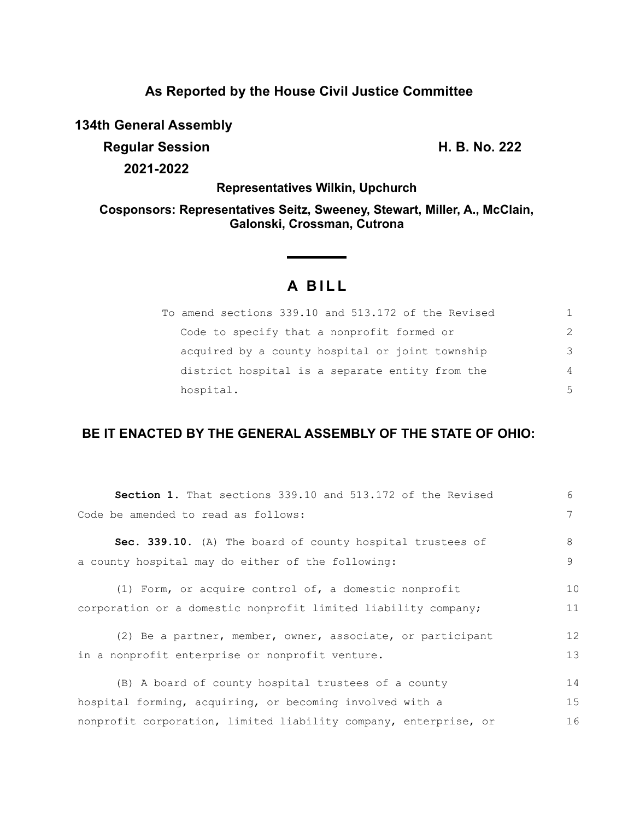## **As Reported by the House Civil Justice Committee**

**134th General Assembly**

**Regular Session H. B. No. 222 2021-2022**

**Representatives Wilkin, Upchurch**

**Cosponsors: Representatives Seitz, Sweeney, Stewart, Miller, A., McClain, Galonski, Crossman, Cutrona**

## **A BILL**

| To amend sections 339.10 and 513.172 of the Revised | 1.            |
|-----------------------------------------------------|---------------|
| Code to specify that a nonprofit formed or          | $\mathcal{P}$ |
| acquired by a county hospital or joint township     | 3             |
| district hospital is a separate entity from the     | 4             |
| hospital.                                           | 5             |

## **BE IT ENACTED BY THE GENERAL ASSEMBLY OF THE STATE OF OHIO:**

| <b>Section 1.</b> That sections 339.10 and 513.172 of the Revised | 6  |
|-------------------------------------------------------------------|----|
| Code be amended to read as follows:                               | 7  |
| Sec. 339.10. (A) The board of county hospital trustees of         | 8  |
| a county hospital may do either of the following:                 | 9  |
| (1) Form, or acquire control of, a domestic nonprofit             | 10 |
| corporation or a domestic nonprofit limited liability company;    | 11 |
| (2) Be a partner, member, owner, associate, or participant        | 12 |
| in a nonprofit enterprise or nonprofit venture.                   | 13 |
| (B) A board of county hospital trustees of a county               | 14 |
| hospital forming, acquiring, or becoming involved with a          | 15 |
| nonprofit corporation, limited liability company, enterprise, or  | 16 |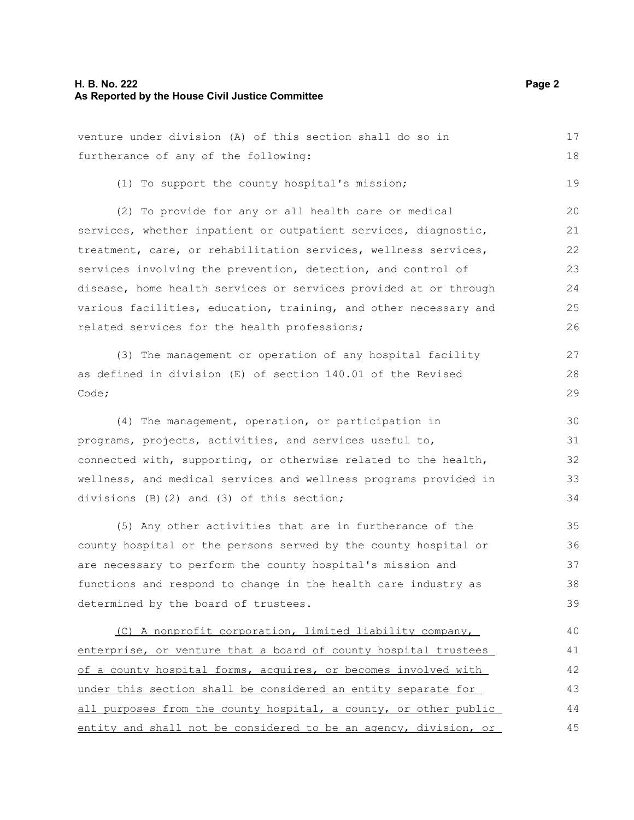venture under division (A) of this section shall do so in

furtherance of any of the following: (1) To support the county hospital's mission; (2) To provide for any or all health care or medical services, whether inpatient or outpatient services, diagnostic, treatment, care, or rehabilitation services, wellness services, services involving the prevention, detection, and control of disease, home health services or services provided at or through various facilities, education, training, and other necessary and related services for the health professions; (3) The management or operation of any hospital facility as defined in division (E) of section 140.01 of the Revised Code; (4) The management, operation, or participation in programs, projects, activities, and services useful to, connected with, supporting, or otherwise related to the health, wellness, and medical services and wellness programs provided in divisions (B)(2) and (3) of this section; (5) Any other activities that are in furtherance of the county hospital or the persons served by the county hospital or are necessary to perform the county hospital's mission and functions and respond to change in the health care industry as determined by the board of trustees. (C) A nonprofit corporation, limited liability company, enterprise, or venture that a board of county hospital trustees of a county hospital forms, acquires, or becomes involved with under this section shall be considered an entity separate for all purposes from the county hospital, a county, or other public entity and shall not be considered to be an agency, division, or 18 19 20 21 22 23 24 25 26 27 28 29 30 31 32 33 34 35 36 37 38 39 40 41 42 43 44 45

17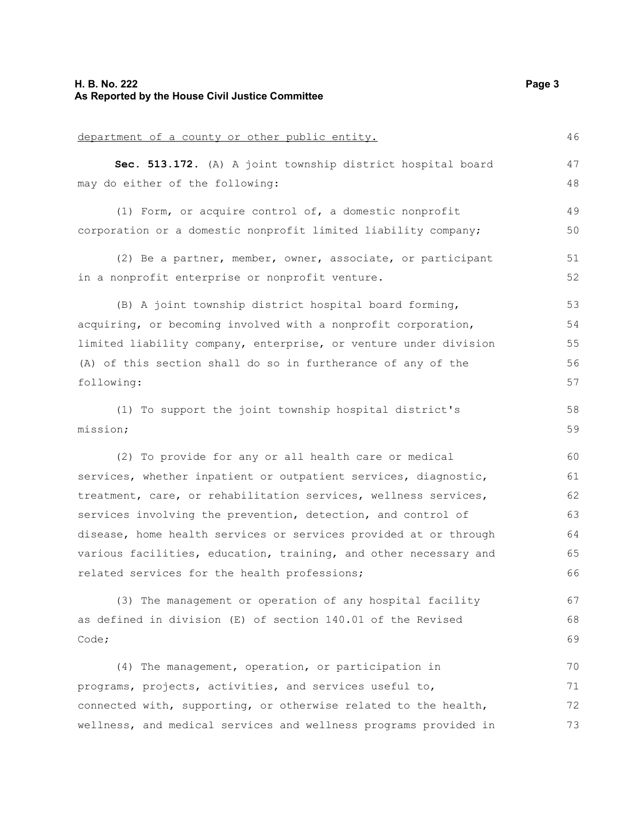| department of a county or other public entity.                   | 46 |
|------------------------------------------------------------------|----|
| Sec. 513.172. (A) A joint township district hospital board       | 47 |
| may do either of the following:                                  | 48 |
| (1) Form, or acquire control of, a domestic nonprofit            | 49 |
| corporation or a domestic nonprofit limited liability company;   | 50 |
| (2) Be a partner, member, owner, associate, or participant       | 51 |
| in a nonprofit enterprise or nonprofit venture.                  | 52 |
| (B) A joint township district hospital board forming,            | 53 |
| acquiring, or becoming involved with a nonprofit corporation,    | 54 |
| limited liability company, enterprise, or venture under division | 55 |
| (A) of this section shall do so in furtherance of any of the     | 56 |
| following:                                                       | 57 |
| (1) To support the joint township hospital district's            | 58 |
| mission;                                                         | 59 |
| (2) To provide for any or all health care or medical             | 60 |
| services, whether inpatient or outpatient services, diagnostic,  | 61 |
| treatment, care, or rehabilitation services, wellness services,  | 62 |
| services involving the prevention, detection, and control of     | 63 |
| disease, home health services or services provided at or through | 64 |
| various facilities, education, training, and other necessary and | 65 |
| related services for the health professions;                     | 66 |
| (3) The management or operation of any hospital facility         | 67 |
| as defined in division (E) of section 140.01 of the Revised      | 68 |
| Code;                                                            | 69 |
| (4) The management, operation, or participation in               | 70 |
| programs, projects, activities, and services useful to,          | 71 |
| connected with, supporting, or otherwise related to the health,  | 72 |
| wellness, and medical services and wellness programs provided in | 73 |